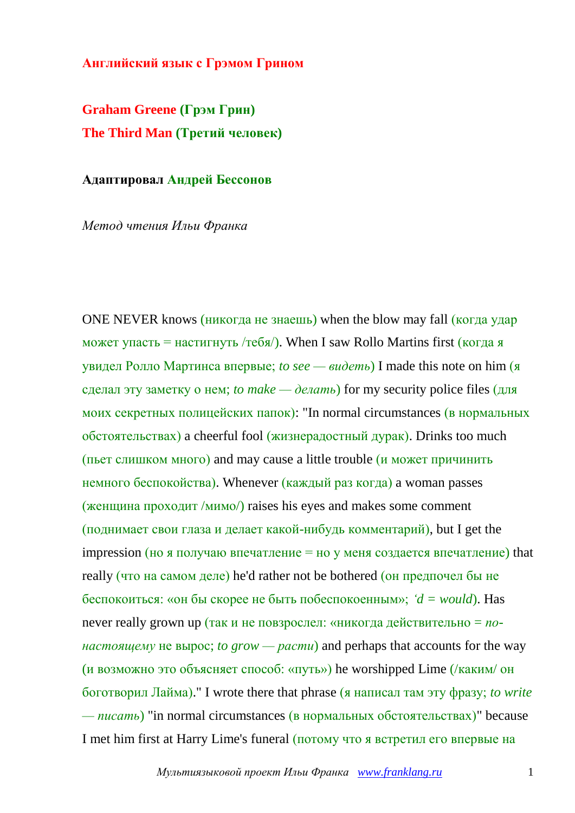## **Английский язык с Грэмом Грином**

**Graham Greene (Грэм Грин) The Third Man (Третий человек)**

## **Адаптировал Андрей Бессонов**

*Метод чтения Ильи Франка*

ONE NEVER knows (никогда не знаешь) when the blow may fall (когда удар может упасть = настигнуть /тебя/). When I saw Rollo Martins first (когда я увидел Ролло Мартинса впервые; *to see — видеть*) I made this note on him (я сделал эту заметку о нем; *to make* —  $\partial$ *eлать*) for my security police files (для моих секретных полицейских папок): "In normal circumstances (в нормальных обстоятельствах) a cheerful fool (жизнерадостный дурак). Drinks too much (пьет слишком много) and may cause a little trouble (и может причинить немного беспокойства). Whenever (каждый раз когда) a woman passes (женщина проходит /мимо/) raises his eyes and makes some comment (поднимает свои глаза и делает какой-нибудь комментарий), but I get the impression (но я получаю впечатление  $=$  но у меня создается впечатление) that really (что на самом деле) he'd rather not be bothered (он предпочел бы не беспокоиться: «он бы скорее не быть побеспокоенным»; *'d = would*). Has never really grown up (так и не повзрослел: «никогда действительно = *понастоящему* не вырос; *to grow — расти*) and perhaps that accounts for the way (и возможно это объясняет способ: «путь») he worshipped Lime (/каким/ он боготворил Лайма)." I wrote there that phrase (я написал там эту фразу; *to write — писать*) "in normal circumstances (в нормальных обстоятельствах)" because I met him first at Harry Lime's funeral (потому что я встретил его впервые на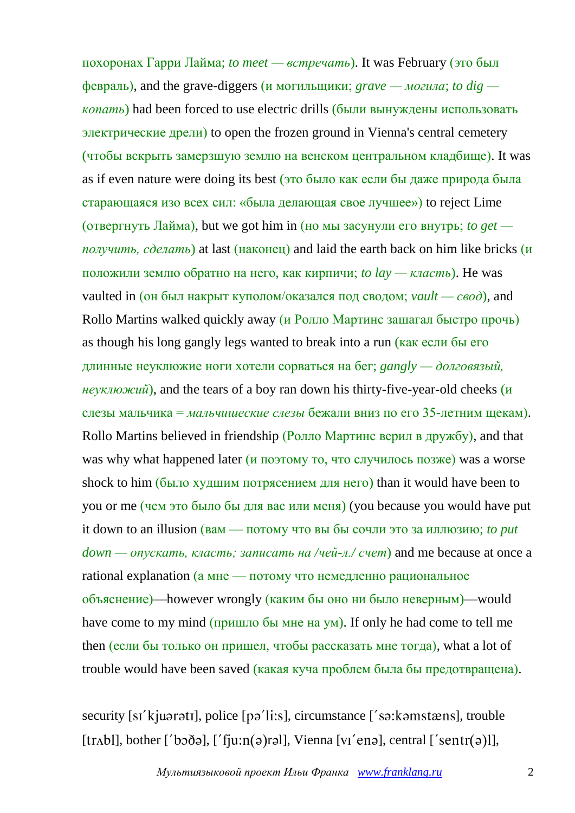похоронах Гарри Лайма; *to meet — встречать*). It was February (это был февраль), and the grave-diggers (и могильщики; *grave — могила*; *to dig копать*) had been forced to use electric drills (были вынуждены использовать электрические дрели) to open the frozen ground in Vienna's central cemetery (чтобы вскрыть замерзшую землю на венском центральном кладбище). It was as if even nature were doing its best (это было как если бы даже природа была старающаяся изо всех сил: «была делающая свое лучшее») to reject Lime (отвергнуть Лайма), but we got him in (но мы засунули его внутрь; *to get получить, сделать*) at last (наконец) and laid the earth back on him like bricks (и положили землю обратно на него, как кирпичи; *to lay — класть*). He was vaulted in (он был накрыт куполом/оказался под сводом; *vault —*  $ceod$ *)*, and Rollo Martins walked quickly away (и Ролло Мартинс зашагал быстро прочь) as though his long gangly legs wanted to break into a run (как если бы его длинные неуклюжие ноги хотели сорваться на бег; *gangly — долговязый, неуклюжий*), and the tears of a boy ran down his thirty-five-year-old cheeks (и слезы мальчика = *мальчишеские слезы* бежали вниз по его 35-летним щекам). Rollo Martins believed in friendship (Ролло Мартинс верил в дружбу), and that was why what happened later ( $\mu$  поэтому то, что случилось позже) was a worse shock to him (было худшим потрясением для него) than it would have been to you or me (чем это было бы для вас или меня) (you because you would have put it down to an illusion (вам — потому что вы бы сочли это за иллюзию; *to put down — опускать, класть; записать на /чей-л./ счет*) and me because at once a rational explanation (а мне — потому что немедленно рациональное объяснение)—however wrongly (каким бы оно ни было неверным)—would have come to my mind (пришло бы мне на ум). If only he had come to tell me then (если бы только он пришел, чтобы рассказать мне тогда), what a lot of trouble would have been saved (какая куча проблем была бы предотвращена).

security [sɪ'kjuərətɪ], police [pə'li:s], circumstance ['sə:kəmstæns], trouble  $[$ tr $\Delta$ bl], bother  $[$ 'b $\delta$ ðə],  $[$ 'f $\mu$ :n $(\sigma)$ rəl], Vienna  $\lbrack \nu$ 'enə], central  $\lbrack$ 'sentr $(\sigma)$ l],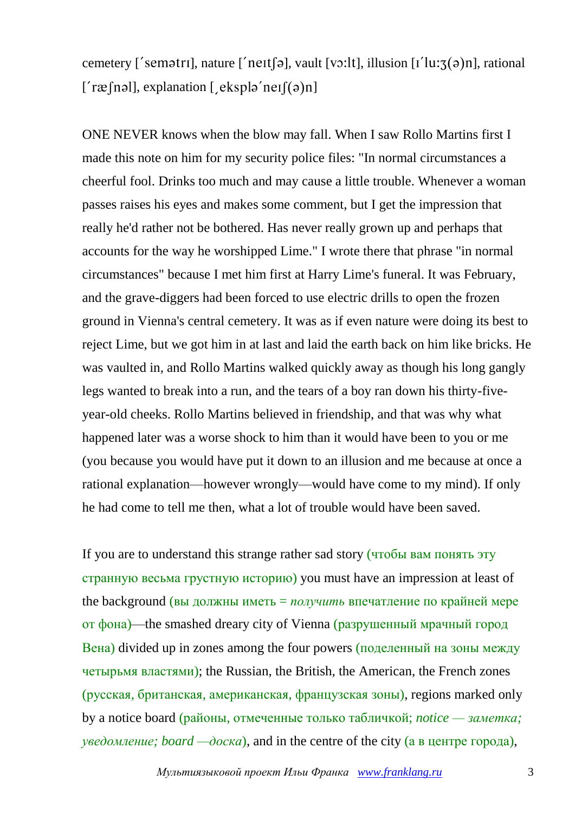cemetery ['semətri], nature ['neit[ə], vault [vɔ:lt], illusion [i'lu: $\mathfrak{z}(\mathfrak{z})$ n], rational  $['ræ[no]$ , explanation [ eksplə'neɪ $[(\circ)n]$ 

ONE NEVER knows when the blow may fall. When I saw Rollo Martins first I made this note on him for my security police files: "In normal circumstances a cheerful fool. Drinks too much and may cause a little trouble. Whenever a woman passes raises his eyes and makes some comment, but I get the impression that really he'd rather not be bothered. Has never really grown up and perhaps that accounts for the way he worshipped Lime." I wrote there that phrase "in normal circumstances" because I met him first at Harry Lime's funeral. It was February, and the grave-diggers had been forced to use electric drills to open the frozen ground in Vienna's central cemetery. It was as if even nature were doing its best to reject Lime, but we got him in at last and laid the earth back on him like bricks. He was vaulted in, and Rollo Martins walked quickly away as though his long gangly legs wanted to break into a run, and the tears of a boy ran down his thirty-fiveyear-old cheeks. Rollo Martins believed in friendship, and that was why what happened later was a worse shock to him than it would have been to you or me (you because you would have put it down to an illusion and me because at once a rational explanation—however wrongly—would have come to my mind). If only he had come to tell me then, what a lot of trouble would have been saved.

If you are to understand this strange rather sad story (чтобы вам понять эту странную весьма грустную историю) you must have an impression at least of the background (вы должны иметь = *получить* впечатление по крайней мере от фона)—the smashed dreary city of Vienna (разрушенный мрачный город Вена) divided up in zones among the four powers (поделенный на зоны между четырьмя властями); the Russian, the British, the American, the French zones (русская, британская, американская, французская зоны), regions marked only by a notice board (районы, отмеченные только табличкой; *notice — заметка; уведомление; board —доска*), and in the centre of the city (а в центре города),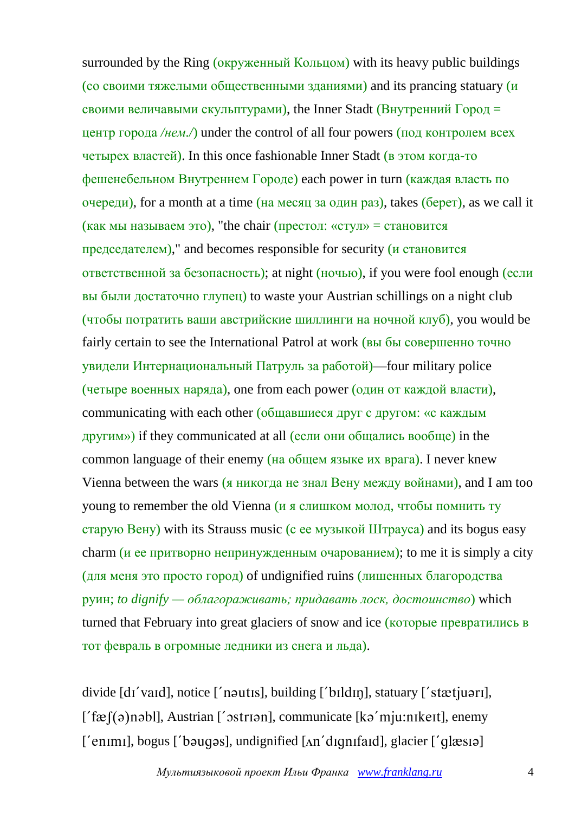surrounded by the Ring (окруженный Кольцом) with its heavy public buildings (со своими тяжелыми общественными зданиями) and its prancing statuary  $(u)$ своими величавыми скульптурами), the Inner Stadt (Внутренний Город = центр города */нем./*) under the control of all four powers (под контролем всех четырех властей). In this once fashionable Inner Stadt (в этом когда-то фешенебельном Внутреннем Городе) each power in turn (каждая власть по очереди), for a month at a time (на месяц за один раз), takes (берет), as we call it (как мы называем это), "the chair (престол: «стул» = становится председателем)," and becomes responsible for security (и становится ответственной за безопасность); at night (ночью), if you were fool enough (если вы были достаточно глупец) to waste your Austrian schillings on a night club (чтобы потратить ваши австрийские шиллинги на ночной клуб), you would be fairly certain to see the International Patrol at work (вы бы совершенно точно увидели Интернациональный Патруль за работой)—four military police (четыре военных наряда), one from each power (один от каждой власти), communicating with each other (общавшиеся друг с другом: «с каждым другим») if they communicated at all (если они общались вообще) in the common language of their enemy (на общем языке их врага). I never knew Vienna between the wars (я никогда не знал Вену между войнами), and I am too young to remember the old Vienna (и я слишком молод, чтобы помнить ту старую Вену) with its Strauss music (с ее музыкой Штрауса) and its bogus easy charm (и ее притворно непринужденным очарованием); to me it is simply a city (для меня это просто город) of undignified ruins (лишенных благородства руин; *to dignify — облагораживать; придавать лоск, достоинство*) which turned that February into great glaciers of snow and ice (которые превратились в тот февраль в огромные ледники из снега и льда).

divide  $\left[$ di 'vaid], notice  $\left[$ ' n $\right)$ autis], building  $\left[$ ' bildin], statuary  $\left[$ ' stætju $\right]$ . [ ], Austrian [ ], communicate [ ], enemy  $\alpha$  ['enimition], bogus ['bauqas], undignified [An'diqnifaid], glacier ['qlæsia]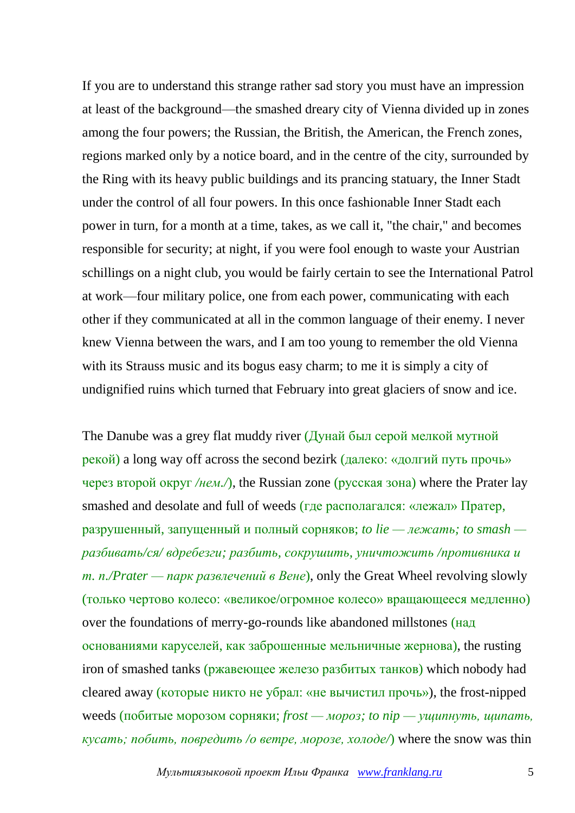If you are to understand this strange rather sad story you must have an impression at least of the background—the smashed dreary city of Vienna divided up in zones among the four powers; the Russian, the British, the American, the French zones, regions marked only by a notice board, and in the centre of the city, surrounded by the Ring with its heavy public buildings and its prancing statuary, the Inner Stadt under the control of all four powers. In this once fashionable Inner Stadt each power in turn, for a month at a time, takes, as we call it, "the chair," and becomes responsible for security; at night, if you were fool enough to waste your Austrian schillings on a night club, you would be fairly certain to see the International Patrol at work—four military police, one from each power, communicating with each other if they communicated at all in the common language of their enemy. I never knew Vienna between the wars, and I am too young to remember the old Vienna with its Strauss music and its bogus easy charm; to me it is simply a city of undignified ruins which turned that February into great glaciers of snow and ice.

The Danube was a grey flat muddy river (Дунай был серой мелкой мутной рекой) a long way off across the second bezirk (далеко: «долгий путь прочь» через второй округ */нем./*), the Russian zone (русская зона) where the Prater lay smashed and desolate and full of weeds (где располагался: «лежал» Пратер, разрушенный, запущенный и полный сорняков; *to lie — лежать; to smash разбивать/ся/ вдребезги; разбить, сокрушить, уничтожить /противника и т. п./Prater — парк развлечений в Вене*), only the Great Wheel revolving slowly (только чертово колесо: «великое/огромное колесо» вращающееся медленно) over the foundations of merry-go-rounds like abandoned millstones (над основаниями каруселей, как заброшенные мельничные жернова), the rusting iron of smashed tanks (ржавеющее железо разбитых танков) which nobody had cleared away (которые никто не убрал: «не вычистил прочь»), the frost-nipped weeds (побитые морозом сорняки; *frost — мороз; to nip — ущипнуть, щипать, кусать; побить, повредить /о ветре, морозе, холоде/*) where the snow was thin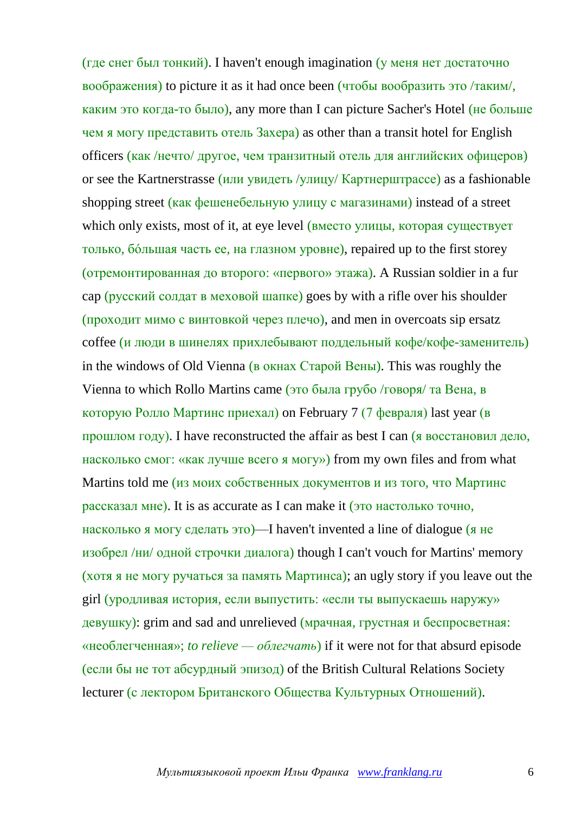(где снег был тонкий). I haven't enough imagination (у меня нет достаточно воображения) to picture it as it had once been (чтобы вообразить это /таким/, каким это когда-то было), any more than I can picture Sacher's Hotel (не больше чем я могу представить отель Захера) as other than a transit hotel for English officers (как /нечто/ другое, чем транзитный отель для английских офицеров) or see the Kartnerstrasse (или увидеть /улицу/ Картнерштрассе) as a fashionable shopping street (как фешенебельную улицу с магазинами) instead of a street which only exists, most of it, at eye level (вместо улицы, которая существует только, бóльшая часть ее, на глазном уровне), repaired up to the first storey (отремонтированная до второго: «первого» этажа). A Russian soldier in a fur cap (русский солдат в меховой шапке) goes by with a rifle over his shoulder (проходит мимо с винтовкой через плечо), and men in overcoats sip ersatz coffee (и люди в шинелях прихлебывают поддельный кофе/кофе-заменитель) in the windows of Old Vienna (в окнах Старой Вены). This was roughly the Vienna to which Rollo Martins came (это была грубо /говоря/ та Вена, в которую Ролло Мартинс приехал) on February 7 (7 февраля) last year (в прошлом году). I have reconstructed the affair as best I can (я восстановил дело, насколько смог: «как лучше всего я могу») from my own files and from what Martins told me (из моих собственных документов и из того, что Мартинс рассказал мне). It is as accurate as I can make it (это настолько точно, насколько я могу сделать это)—I haven't invented a line of dialogue (я не изобрел /ни/ одной строчки диалога) though I can't vouch for Martins' memory (хотя я не могу ручаться за память Мартинса); an ugly story if you leave out the girl (уродливая история, если выпустить: «если ты выпускаешь наружу» девушку): grim and sad and unrelieved (мрачная, грустная и беспросветная: «необлегченная»; *to relieve — облегчать*) if it were not for that absurd episode (если бы не тот абсурдный эпизод) of the British Cultural Relations Society lecturer (с лектором Британского Общества Культурных Отношений).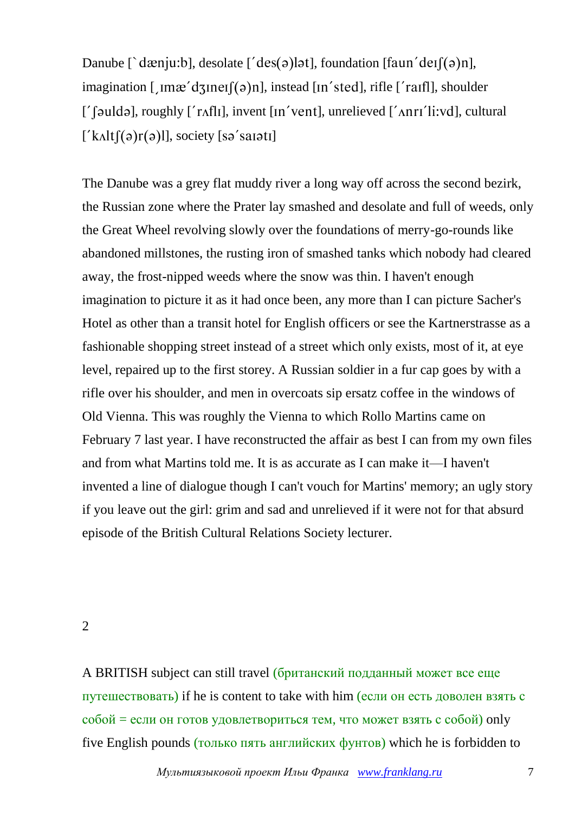Danube  $\lceil \hat{d}$  dænju:b], desolate  $\lceil d$  des $(a)$ l $\vert$ , foundation  $\lceil \frac{d}{d}$  faun $\ell$  de $\lceil (a)$ n], imagination [ $\text{Im}\,\mathfrak{B}'$  d $\text{Im}\,\mathfrak{B}$ ], instead [In'sted], rifle ['raifl], shoulder [' [aulda], roughly ['rʌflɪ], invent [In'vent], unrelieved ['AnrI'li:vd], cultural [ ], society [ ]

The Danube was a grey flat muddy river a long way off across the second bezirk, the Russian zone where the Prater lay smashed and desolate and full of weeds, only the Great Wheel revolving slowly over the foundations of merry-go-rounds like abandoned millstones, the rusting iron of smashed tanks which nobody had cleared away, the frost-nipped weeds where the snow was thin. I haven't enough imagination to picture it as it had once been, any more than I can picture Sacher's Hotel as other than a transit hotel for English officers or see the Kartnerstrasse as a fashionable shopping street instead of a street which only exists, most of it, at eye level, repaired up to the first storey. A Russian soldier in a fur cap goes by with a rifle over his shoulder, and men in overcoats sip ersatz coffee in the windows of Old Vienna. This was roughly the Vienna to which Rollo Martins came on February 7 last year. I have reconstructed the affair as best I can from my own files and from what Martins told me. It is as accurate as I can make it—I haven't invented a line of dialogue though I can't vouch for Martins' memory; an ugly story if you leave out the girl: grim and sad and unrelieved if it were not for that absurd episode of the British Cultural Relations Society lecturer.

2

A BRITISH subject can still travel (британский подданный может все еще путешествовать) if he is content to take with him (если он есть доволен взять с собой = если он готов удовлетвориться тем, что может взять с собой) only five English pounds (только пять английских фунтов) which he is forbidden to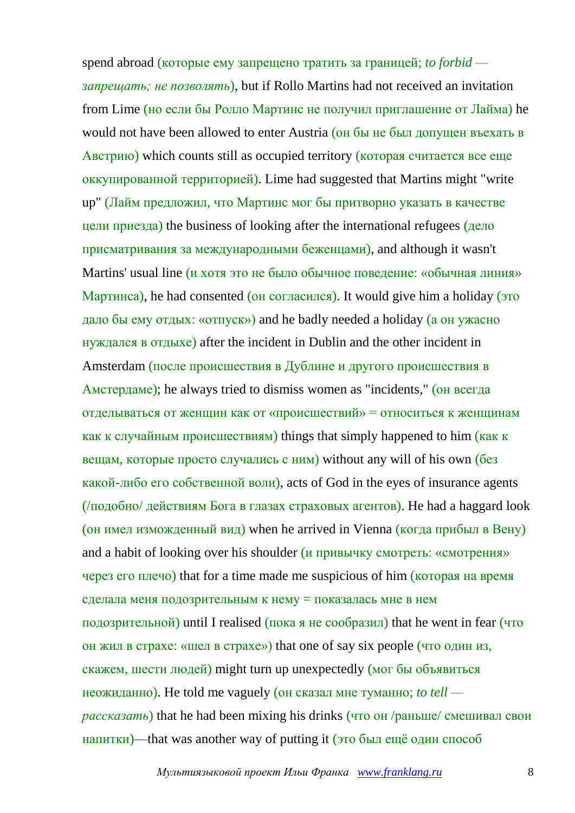spend abroad (которые ему запрещено тратить за границей; *to forbid запрещать; не позволять*), but if Rollo Martins had not received an invitation from Lime (но если бы Ролло Мартинс не получил приглашение от Лайма) he would not have been allowed to enter Austria (он бы не был допущен въехать в Австрию) which counts still as occupied territory (которая считается все еще оккупированной территорией). Lime had suggested that Martins might "write up" (Лайм предложил, что Мартинс мог бы притворно указать в качестве цели приезда) the business of looking after the international refugees (дело присматривания за международными беженцами), and although it wasn't Martins' usual line (и хотя это не было обычное поведение: «обычная линия» Мартинса), he had consented (он согласился). It would give him a holiday (это дало бы ему отдых: «отпуск») and he badly needed a holiday (а он ужасно нуждался в отдыхе) after the incident in Dublin and the other incident in Amsterdam (после происшествия в Дублине и другого происшествия в Амстердаме); he always tried to dismiss women as "incidents," (он всегда отделываться от женщин как от «происшествий» = относиться к женщинам как к случайным происшествиям) things that simply happened to him (как к вещам, которые просто случались с ним) without any will of his own (без какой-либо его собственной воли), acts of God in the eyes of insurance agents (/подобно/ действиям Бога в глазах страховых агентов). He had a haggard look (он имел изможденный вид) when he arrived in Vienna (когда прибыл в Вену) and a habit of looking over his shoulder (и привычку смотреть: «смотрения» через его плечо) that for a time made me suspicious of him (которая на время сделала меня подозрительным к нему = показалась мне в нем подозрительной) until I realised (пока я не сообразил) that he went in fear (что он жил в страхе: «шел в страхе») that one of say six people (что один из, скажем, шести людей) might turn up unexpectedly (мог бы объявиться неожиданно). He told me vaguely (он сказал мне туманно; *to tell рассказать*) that he had been mixing his drinks (что он /раньше/ смешивал свои напитки)—that was another way of putting it (это был ещё один способ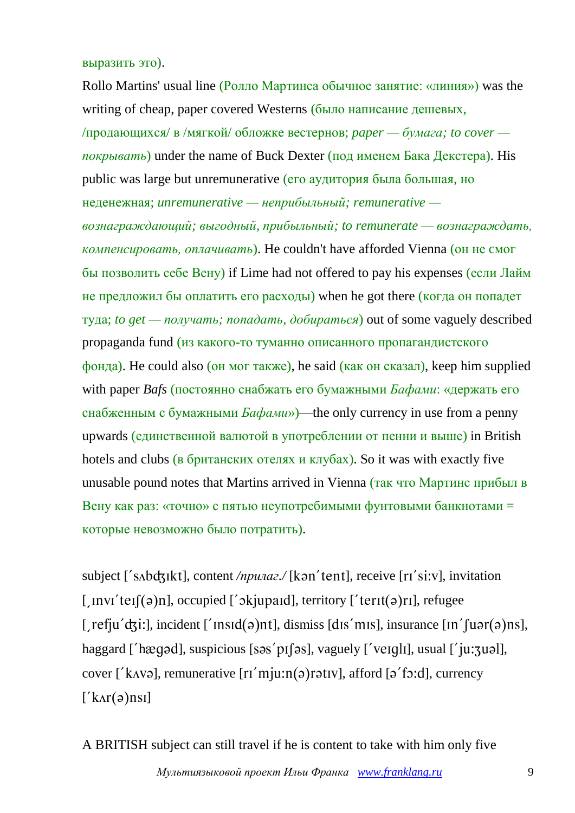## выразить это).

Rollo Martins' usual line (Ролло Мартинса обычное занятие: «линия») was the writing of cheap, paper covered Westerns (было написание дешевых, /продающихся/ в /мягкой/ обложке вестернов; *paper — бумага; to cover покрывать*) under the name of Buck Dexter (под именем Бака Декстера). His public was large but unremunerative (его аудитория была большая, но неденежная; *unremunerative — неприбыльный; remunerative вознаграждающий; выгодный, прибыльный; to remunerate — вознаграждать, компенсировать, оплачивать*). He couldn't have afforded Vienna (он не cмог бы позволить себе Вену) if Lime had not offered to pay his expenses (если Лайм не предложил бы оплатить его расходы) when he got there (когда он попадет туда; *to get — получать; попадать, добираться*) out of some vaguely described propaganda fund (из какого-то туманно описанного пропагандистского фонда). He could also (он мог также), he said (как он сказал), keep him supplied with paper *Bafs* (постоянно снабжать его бумажными *Бафами*: «держать его снабженным с бумажными *Бафами*»)—the only currency in use from a penny upwards (единственной валютой в употреблении от пенни и выше) in British hotels and clubs (в британских отелях и клубах). So it was with exactly five unusable pound notes that Martins arrived in Vienna (так что Мартинс прибыл в Вену как раз: «точно» с пятью неупотребимыми фунтовыми банкнотами = которые невозможно было потратить).

subject ['s<sub>A</sub>bdz<sub>Ikt]</sub>, content /npu*naz.*/ [kən'tent], receive [ri'si:v], invitation  $\lceil$  [nvi terl(a)n], occupied ['skjupard], territory ['terrt(a)ri], refugee [ refiu'dzi:], incident [' $insld(a)nt$ ], dismiss [dis'mis], insurance  $[In' [uər(a)ns]$ , haggard  $\lceil \cdot \rceil$  h  $\mathcal{L}$  and  $\lceil \cdot \rceil$ , suspicious  $\lceil \cdot \rceil$  as  $\lceil \cdot \rceil$  (be  $\lceil \cdot \rceil$  vergetarrow  $\lceil \cdot \rceil$  in:  $\lceil \cdot \rceil$  and  $\lceil \cdot \rceil$ cover  $\int'$ k $\Delta$ v $\partial$ , remunerative  $\int$ r $\int'$ m $\int$ j $\mu$ : $n(\partial)$  r $\partial$ t $\nu$ , afford  $\partial'$ f $\partial$ : $d$ , currency  $[ 'k\text{ar}(a)$ nsi]

*Мультиязыковой проект Ильи Франка www.franklang.ru* 9 A BRITISH subject can still travel if he is content to take with him only five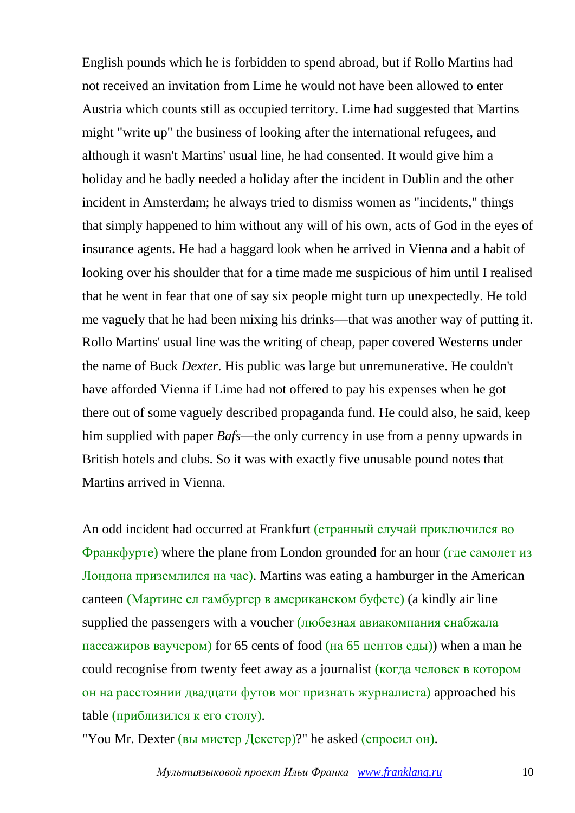English pounds which he is forbidden to spend abroad, but if Rollo Martins had not received an invitation from Lime he would not have been allowed to enter Austria which counts still as occupied territory. Lime had suggested that Martins might "write up" the business of looking after the international refugees, and although it wasn't Martins' usual line, he had consented. It would give him a holiday and he badly needed a holiday after the incident in Dublin and the other incident in Amsterdam; he always tried to dismiss women as "incidents," things that simply happened to him without any will of his own, acts of God in the eyes of insurance agents. He had a haggard look when he arrived in Vienna and a habit of looking over his shoulder that for a time made me suspicious of him until I realised that he went in fear that one of say six people might turn up unexpectedly. He told me vaguely that he had been mixing his drinks—that was another way of putting it. Rollo Martins' usual line was the writing of cheap, paper covered Westerns under the name of Buck *Dexter*. His public was large but unremunerative. He couldn't have afforded Vienna if Lime had not offered to pay his expenses when he got there out of some vaguely described propaganda fund. He could also, he said, keep him supplied with paper *Bafs*—the only currency in use from a penny upwards in British hotels and clubs. So it was with exactly five unusable pound notes that Martins arrived in Vienna.

An odd incident had occurred at Frankfurt (странный случай приключился во Франкфурте) where the plane from London grounded for an hour (где самолет из Лондона приземлился на час). Martins was eating a hamburger in the American canteen (Мартинс ел гамбургер в американском буфете) (a kindly air line supplied the passengers with a voucher (любезная авиакомпания снабжала пассажиров ваучером) for 65 cents of food (на 65 центов еды)) when a man he could recognise from twenty feet away as a journalist (когда человек в котором он на расстоянии двадцати футов мог признать журналиста) approached his table (приблизился к его столу).

"You Mr. Dexter (вы мистер Декстер)?" he asked (спросил он).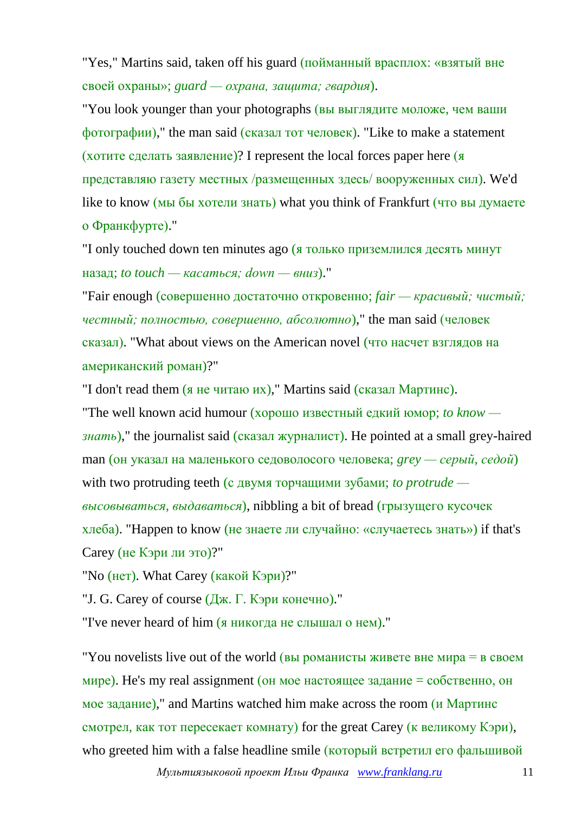"Yes," Martins said, taken off his guard (пойманный врасплох: «взятый вне своей охраны»; *guard — охрана, защита; гвардия*).

"You look younger than your photographs (вы выглядите моложе, чем ваши фотографии)," the man said (сказал тот человек). "Like to make a statement (хотите сделать заявление)? I represent the local forces paper here (я представляю газету местных /размещенных здесь/ вооруженных сил). We'd like to know (мы бы хотели знать) what you think of Frankfurt (что вы думаете о Франкфурте)."

"I only touched down ten minutes ago (я только приземлился десять минут назад; *to touch — касаться; down — вниз*)."

"Fair enough (совершенно достаточно откровенно; *fair — красивый; чистый; честный; полностью, совершенно, абсолютно*)," the man said (человек сказал). "What about views on the American novel (что насчет взглядов на американский роман)?"

"I don't read them (я не читаю их)," Martins said (сказал Мартинс).

"The well known acid humour (хорошо известный едкий юмор; *to know знать*)," the journalist said (сказал журналист). He pointed at a small grey-haired man (он указал на маленького седоволосого человека; *grey — серый, седой*) with two protruding teeth (с двумя торчащими зубами; *to protrude высовываться, выдаваться*), nibbling a bit of bread (грызущего кусочек хлеба). "Happen to know (не знаете ли случайно: «случаетесь знать») if that's Carey (не Кэри ли это)?"

"No (нет). What Carey (какой Кэри)?"

"J. G. Carey of course (Дж. Г. Кэри конечно)."

"I've never heard of him (я никогда не слышал о нем)."

"You novelists live out of the world (вы романисты живете вне мира  $=$  в своем мире). He's my real assignment (он мое настоящее задание = собственно, он мое задание)," and Martins watched him make across the room (и Мартинс смотрел, как тот пересекает комнату) for the great Carey (к великому Кэри), who greeted him with a false headline smile (который встретил его фальшивой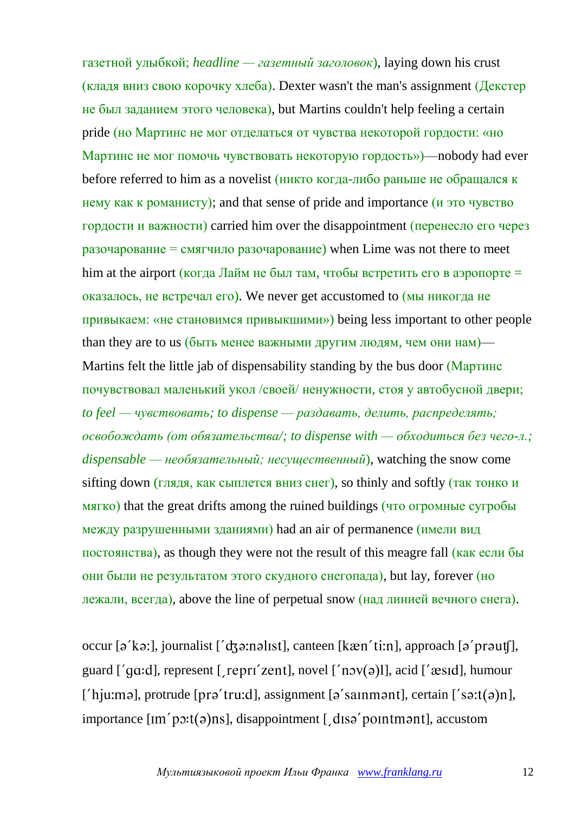газетной улыбкой; *headline — газетный заголовок*), laying down his crust (кладя вниз свою корочку хлеба). Dexter wasn't the man's assignment (Декстер не был заданием этого человека), but Martins couldn't help feeling a certain pride (но Мартинс не мог отделаться от чувства некоторой гордости: «но Мартинс не мог помочь чувствовать некоторую гордость»)—nobody had ever before referred to him as a novelist (никто когда-либо раньше не обращался к нему как к романисту); and that sense of pride and importance  $(u$  это чувство гордости и важности) carried him over the disappointment (перенесло его через  $p$ азочарование = смягчило разочарование) when Lime was not there to meet him at the airport (когда Лайм не был там, чтобы встретить его в аэропорте  $=$ оказалось, не встречал его). We never get accustomed to (мы никогда не привыкаем: «не становимся привыкшими») being less important to other people than they are to us (быть менее важными другим людям, чем они нам)— Martins felt the little jab of dispensability standing by the bus door (Мартинс почувствовал маленький укол /своей/ ненужности, стоя у автобусной двери; *to feel — чувствовать; to dispense — раздавать, делить, распределять; освобождать (от обязательства/; to dispense with — обходиться без чего-л.; dispensable — необязательный; несущественный*), watching the snow come sifting down (глядя, как сыплется вниз снег), so thinly and softly (так тонко и мягко) that the great drifts among the ruined buildings (что огромные сугробы между разрушенными зданиями) had an air of permanence (имели вид постоянства), as though they were not the result of this meagre fall (как если бы они были не результатом этого скудного снегопада), but lay, forever (но лежали, всегда), above the line of perpetual snow (над линией вечного снега).

occur [ə'kə:], journalist ['dʒə:nəlɪst], canteen [kæn'ti:n], approach [ə'prəutʃ], guard  $\lceil$  quard], represent [ repri zent], novel  $\lceil$  nov(a)]], acid  $\lceil$  æsid], humour  $[i]$  ['hju:mə], protrude [prə'tru:d], assignment [ə'sainmənt], certain  $[i]$ sə:t $(i)$ n], importance  $[Im'$  p $: t(\phi)$ ns], disappointment [disə' pointment], accustom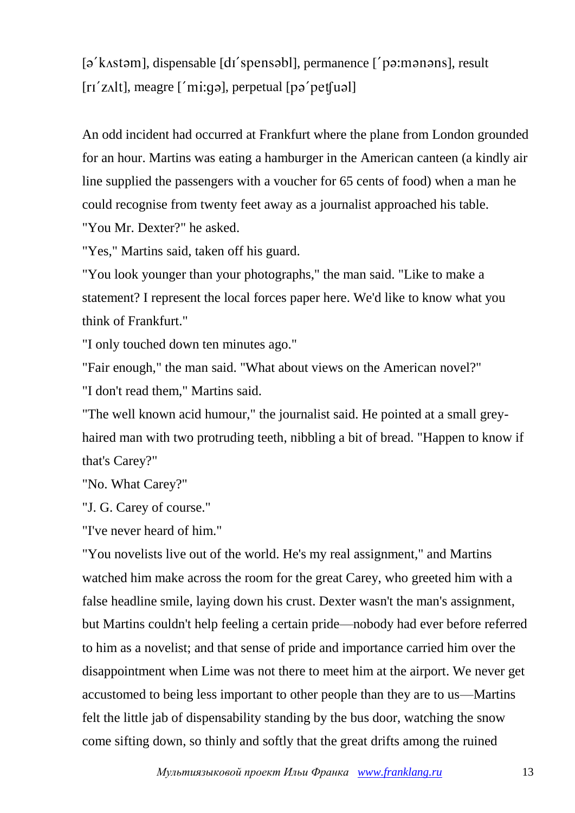[ $a$ <sup>'</sup> k^stam], dispensable [dɪ' spensabl], permanence ['pa: manans], result  $[r1'z<sub>A</sub>lt]$ , meagre  $['mi:qə]$ , perpetual  $[pə'pet[uə]$ 

An odd incident had occurred at Frankfurt where the plane from London grounded for an hour. Martins was eating a hamburger in the American canteen (a kindly air line supplied the passengers with a voucher for 65 cents of food) when a man he could recognise from twenty feet away as a journalist approached his table. "You Mr. Dexter?" he asked.

"Yes," Martins said, taken off his guard.

"You look younger than your photographs," the man said. "Like to make a statement? I represent the local forces paper here. We'd like to know what you think of Frankfurt."

"I only touched down ten minutes ago."

"Fair enough," the man said. "What about views on the American novel?" "I don't read them," Martins said.

"The well known acid humour," the journalist said. He pointed at a small greyhaired man with two protruding teeth, nibbling a bit of bread. "Happen to know if that's Carey?"

"No. What Carey?"

"J. G. Carey of course."

"I've never heard of him."

"You novelists live out of the world. He's my real assignment," and Martins watched him make across the room for the great Carey, who greeted him with a false headline smile, laying down his crust. Dexter wasn't the man's assignment, but Martins couldn't help feeling a certain pride—nobody had ever before referred to him as a novelist; and that sense of pride and importance carried him over the disappointment when Lime was not there to meet him at the airport. We never get accustomed to being less important to other people than they are to us—Martins felt the little jab of dispensability standing by the bus door, watching the snow come sifting down, so thinly and softly that the great drifts among the ruined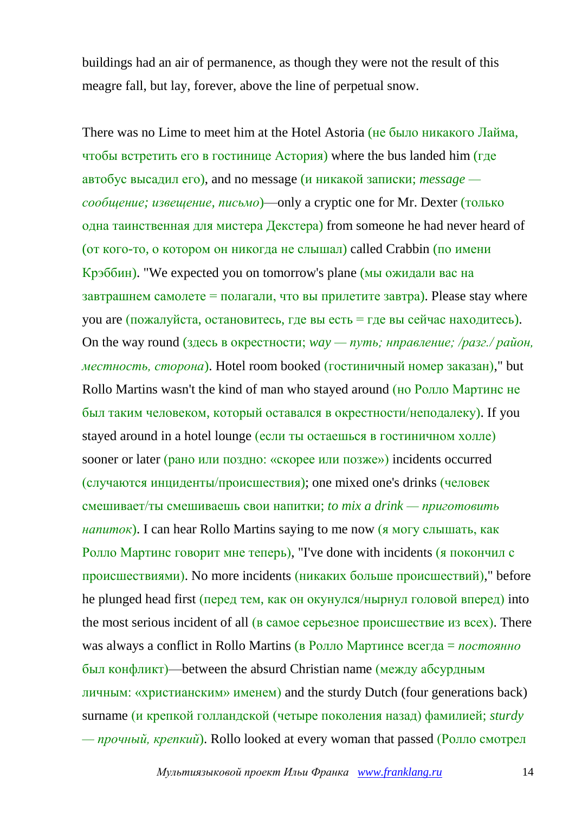buildings had an air of permanence, as though they were not the result of this meagre fall, but lay, forever, above the line of perpetual snow.

There was no Lime to meet him at the Hotel Astoria (не было никакого Лайма, чтобы встретить его в гостинице Астория) where the bus landed him (где автобус высадил его), and no message (и никакой записки; *message сообщение; извещение, письмо*)—only a cryptic one for Mr. Dexter (только одна таинственная для мистера Декстера) from someone he had never heard of (от кого-то, о котором он никогда не слышал) called Crabbin (по имени Крэббин). "We expected you on tomorrow's plane (мы ожидали вас на завтрашнем самолете = полагали, что вы прилетите завтра). Please stay where you are (пожалуйста, остановитесь, где вы есть = где вы сейчас находитесь). On the way round (здесь в окрестности; *way — путь; нправление; /разг./ район, местность, сторона*). Hotel room booked (гостиничный номер заказан)," but Rollo Martins wasn't the kind of man who stayed around (но Ролло Мартинс не был таким человеком, который оставался в окрестности/неподалеку). If you stayed around in a hotel lounge (если ты остаешься в гостиничном холле) sooner or later (рано или поздно: «скорее или позже») incidents occurred (случаются инциденты/происшествия); one mixed one's drinks (человек смешивает/ты смешиваешь свои напитки; *to mix a drink — приготовить напиток*). I can hear Rollo Martins saying to me now (я могу слышать, как Ролло Мартинс говорит мне теперь), "I've done with incidents (я покончил с происшествиями). No more incidents (никаких больше происшествий)," before he plunged head first (перед тем, как он окунулся/нырнул головой вперед) into the most serious incident of all (в самое серьезное происшествие из всех). There was always a conflict in Rollo Martins (в Ролло Мартинсе всегда = *постоянно* был конфликт)—between the absurd Christian name (между абсурдным личным: «христианским» именем) and the sturdy Dutch (four generations back) surname (и крепкой голландской (четыре поколения назад) фамилией; *sturdy — прочный, крепкий*). Rollo looked at every woman that passed (Ролло смотрел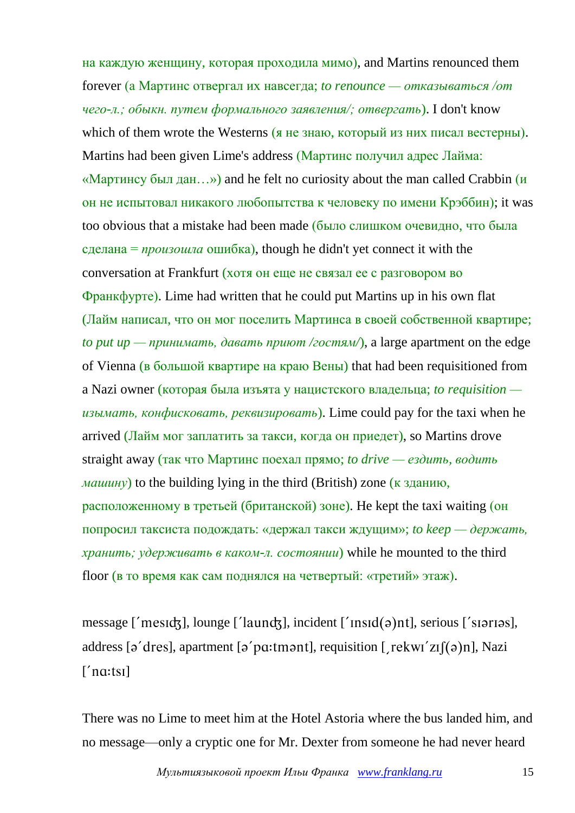на каждую женщину, которая проходила мимо), and Martins renounced them forever (а Мартинс отвергал их навсегда; *to renounce — отказываться /от чего-л.; обыкн. путем формального заявления/; отвергать*). I don't know which of them wrote the Westerns (я не знаю, который из них писал вестерны). Martins had been given Lime's address (Мартинс получил адрес Лайма: «Мартинсу был дан…») and he felt no curiosity about the man called Crabbin (и он не испытовал никакого любопытства к человеку по имени Крэббин); it was too obvious that a mistake had been made (было слишком очевидно, что была сделана = *произошла* ошибка), though he didn't yet connect it with the conversation at Frankfurt (хотя он еще не связал ее с разговором во Франкфурте). Lime had written that he could put Martins up in his own flat (Лайм написал, что он мог поселить Мартинса в своей собственной квартире; *to put up — принимать, давать приют /гостям/*), a large apartment on the edge of Vienna (в большой квартире на краю Вены) that had been requisitioned from a Nazi owner (которая была изъята у нацистского владельца; *to requisition изымать, конфисковать, реквизировать*). Lime could pay for the taxi when he arrived (Лайм мог заплатить за такси, когда он приедет), so Martins drove straight away (так что Мартинс поехал прямо; *to drive — ездить, водить машину*) to the building lying in the third (British) zone (к зданию, расположенному в третьей (британской) зоне). He kept the taxi waiting (он попросил таксиста подождать: «держал такси ждущим»; *to keep — держать, хранить; удерживать в каком-л. состоянии*) while he mounted to the third floor (в то время как сам поднялся на четвертый: «третий» этаж).

message  $\lceil$  message  $\lceil$  henge  $\lceil$  launds, incident  $\lceil$  insid(a)nt, serious  $\lceil$  startes, address  $[\circ']$  dres], apartment  $[\circ']$  pa: tm ant], requisition  $[$  rekwi $ZI](\circ)$ n], Nazi  $[$  na:tsil

There was no Lime to meet him at the Hotel Astoria where the bus landed him, and no message—only a cryptic one for Mr. Dexter from someone he had never heard